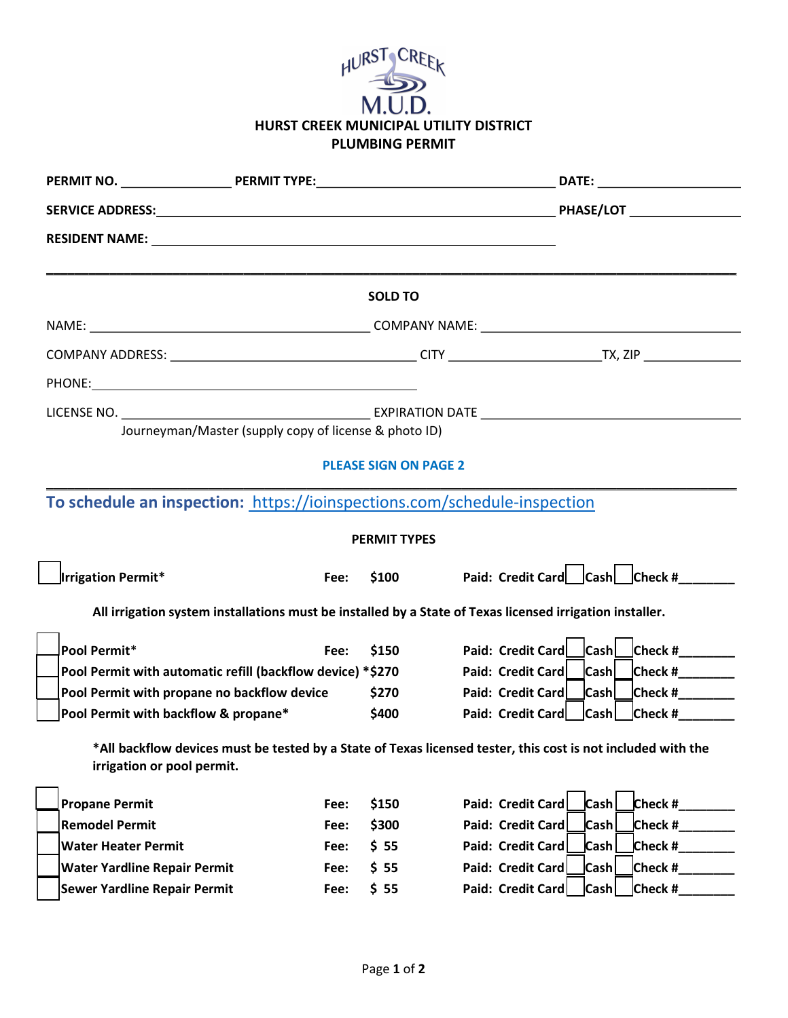| HURST CREEK                            |  |  |  |  |
|----------------------------------------|--|--|--|--|
| M.U.D.                                 |  |  |  |  |
| HURST CREEK MUNICIPAL UTILITY DISTRICT |  |  |  |  |
| <b>PLUMBING PERMIT</b>                 |  |  |  |  |

|                                                                                                          |      | <b>SOLD TO</b> |                                                                                                              |  |
|----------------------------------------------------------------------------------------------------------|------|----------------|--------------------------------------------------------------------------------------------------------------|--|
|                                                                                                          |      |                |                                                                                                              |  |
|                                                                                                          |      |                |                                                                                                              |  |
|                                                                                                          |      |                |                                                                                                              |  |
| Journeyman/Master (supply copy of license & photo ID)                                                    |      |                |                                                                                                              |  |
| <b>PLEASE SIGN ON PAGE 2</b>                                                                             |      |                |                                                                                                              |  |
| To schedule an inspection: https://ioinspections.com/schedule-inspection                                 |      |                |                                                                                                              |  |
| <b>PERMIT TYPES</b>                                                                                      |      |                |                                                                                                              |  |
| Irrigation Permit*                                                                                       | Fee: | \$100          | Paid: Credit Card Cash Check #                                                                               |  |
| All irrigation system installations must be installed by a State of Texas licensed irrigation installer. |      |                |                                                                                                              |  |
| Pool Permit*                                                                                             | Fee: | \$150          | Paid: Credit Card   Cash   Check #                                                                           |  |
| Pool Permit with automatic refill (backflow device) *\$270                                               |      |                | <b>Cash</b><br>Check # $\frac{1}{2}$<br>Paid: Credit Card                                                    |  |
| Pool Permit with propane no backflow device                                                              |      | \$270          | $\mathsf{Check}\ \#$<br>Paid: Credit Card   Cash                                                             |  |
| Pool Permit with backflow & propane*                                                                     |      | \$400          | Paid: Credit Card   Cash<br>$Check #$                                                                        |  |
| irrigation or pool permit.                                                                               |      |                | *All backflow devices must be tested by a State of Texas licensed tester, this cost is not included with the |  |
| <b>Propane Permit</b>                                                                                    | Fee: | \$150          | Paid: Credit Card<br><b>Cash</b><br>Check $#$                                                                |  |
| <b>Remodel Permit</b>                                                                                    | Fee: | \$300          | Cash<br>Check #<br>Paid: Credit Card                                                                         |  |
| <b>Water Heater Permit</b>                                                                               | Fee: | \$55           | Paid: Credit Card<br>$\mathsf{Cash}$<br>Check #                                                              |  |
| <b>Water Yardline Repair Permit</b>                                                                      | Fee: | \$55           | Paid: Credit Card<br>Cash<br>Check #                                                                         |  |
| <b>Sewer Yardline Repair Permit</b>                                                                      | Fee: | \$55           | Paid: Credit Card<br>Cash<br>Check #                                                                         |  |